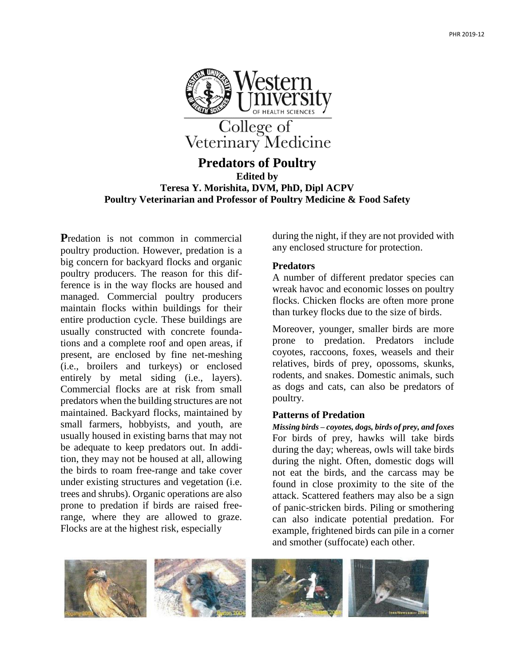

# **Predators of Poultry Edited by Teresa Y. Morishita, DVM, PhD, Dipl ACPV Poultry Veterinarian and Professor of Poultry Medicine & Food Safety**

**P**redation is not common in commercial poultry production. However, predation is a big concern for backyard flocks and organic poultry producers. The reason for this difference is in the way flocks are housed and managed. Commercial poultry producers maintain flocks within buildings for their entire production cycle. These buildings are usually constructed with concrete foundations and a complete roof and open areas, if present, are enclosed by fine net-meshing (i.e., broilers and turkeys) or enclosed entirely by metal siding (i.e., layers). Commercial flocks are at risk from small predators when the building structures are not maintained. Backyard flocks, maintained by small farmers, hobbyists, and youth, are usually housed in existing barns that may not be adequate to keep predators out. In addition, they may not be housed at all, allowing the birds to roam free-range and take cover under existing structures and vegetation (i.e. trees and shrubs). Organic operations are also prone to predation if birds are raised freerange, where they are allowed to graze. Flocks are at the highest risk, especially

during the night, if they are not provided with any enclosed structure for protection.

#### **Predators**

A number of different predator species can wreak havoc and economic losses on poultry flocks. Chicken flocks are often more prone than turkey flocks due to the size of birds.

Moreover, younger, smaller birds are more prone to predation. Predators include coyotes, raccoons, foxes, weasels and their relatives, birds of prey, opossoms, skunks, rodents, and snakes. Domestic animals, such as dogs and cats, can also be predators of poultry.

## **Patterns of Predation**

*Missing birds – coyotes, dogs, birds of prey, and foxes* For birds of prey, hawks will take birds during the day; whereas, owls will take birds during the night. Often, domestic dogs will not eat the birds, and the carcass may be found in close proximity to the site of the attack. Scattered feathers may also be a sign of panic-stricken birds. Piling or smothering can also indicate potential predation. For example, frightened birds can pile in a corner and smother (suffocate) each other.